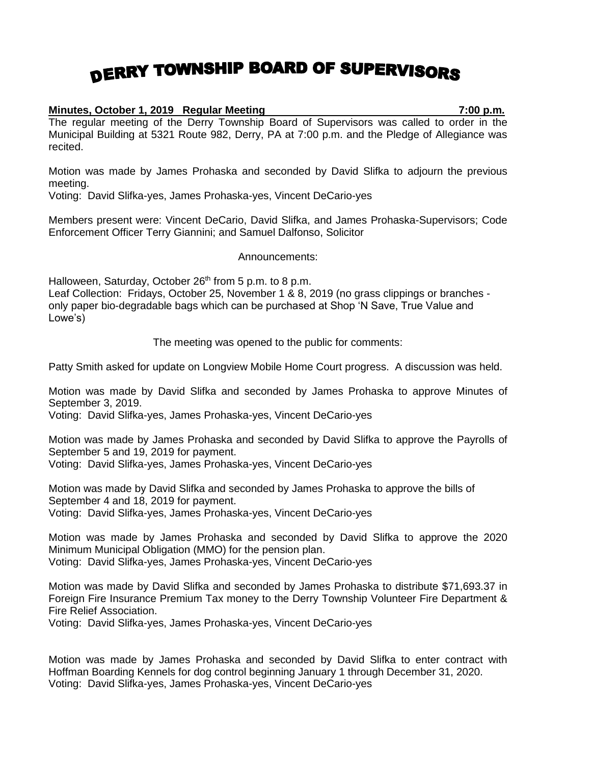## DERRY TOWNSHIP BOARD OF SUPERVISORS

## **Minutes, October 1, 2019 Regular Meeting 7:00 p.m.**

The regular meeting of the Derry Township Board of Supervisors was called to order in the Municipal Building at 5321 Route 982, Derry, PA at 7:00 p.m. and the Pledge of Allegiance was recited.

Motion was made by James Prohaska and seconded by David Slifka to adjourn the previous meeting.

Voting: David Slifka-yes, James Prohaska-yes, Vincent DeCario-yes

Members present were: Vincent DeCario, David Slifka, and James Prohaska-Supervisors; Code Enforcement Officer Terry Giannini; and Samuel Dalfonso, Solicitor

Announcements:

Halloween, Saturday, October 26<sup>th</sup> from 5 p.m. to 8 p.m.

Leaf Collection: Fridays, October 25, November 1 & 8, 2019 (no grass clippings or branches only paper bio-degradable bags which can be purchased at Shop 'N Save, True Value and Lowe's)

The meeting was opened to the public for comments:

Patty Smith asked for update on Longview Mobile Home Court progress. A discussion was held.

Motion was made by David Slifka and seconded by James Prohaska to approve Minutes of September 3, 2019.

Voting: David Slifka-yes, James Prohaska-yes, Vincent DeCario-yes

Motion was made by James Prohaska and seconded by David Slifka to approve the Payrolls of September 5 and 19, 2019 for payment.

Voting: David Slifka-yes, James Prohaska-yes, Vincent DeCario-yes

Motion was made by David Slifka and seconded by James Prohaska to approve the bills of September 4 and 18, 2019 for payment. Voting: David Slifka-yes, James Prohaska-yes, Vincent DeCario-yes

Motion was made by James Prohaska and seconded by David Slifka to approve the 2020 Minimum Municipal Obligation (MMO) for the pension plan. Voting: David Slifka-yes, James Prohaska-yes, Vincent DeCario-yes

Motion was made by David Slifka and seconded by James Prohaska to distribute \$71,693.37 in Foreign Fire Insurance Premium Tax money to the Derry Township Volunteer Fire Department & Fire Relief Association.

Voting: David Slifka-yes, James Prohaska-yes, Vincent DeCario-yes

Motion was made by James Prohaska and seconded by David Slifka to enter contract with Hoffman Boarding Kennels for dog control beginning January 1 through December 31, 2020. Voting: David Slifka-yes, James Prohaska-yes, Vincent DeCario-yes